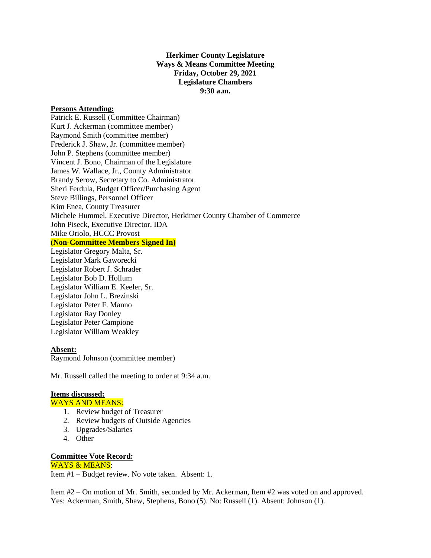## **Herkimer County Legislature Ways & Means Committee Meeting Friday, October 29, 2021 Legislature Chambers 9:30 a.m.**

### **Persons Attending:**

Patrick E. Russell (Committee Chairman) Kurt J. Ackerman (committee member) Raymond Smith (committee member) Frederick J. Shaw, Jr. (committee member) John P. Stephens (committee member) Vincent J. Bono, Chairman of the Legislature James W. Wallace, Jr., County Administrator Brandy Serow, Secretary to Co. Administrator Sheri Ferdula, Budget Officer/Purchasing Agent Steve Billings, Personnel Officer Kim Enea, County Treasurer Michele Hummel, Executive Director, Herkimer County Chamber of Commerce John Piseck, Executive Director, IDA Mike Oriolo, HCCC Provost **(Non-Committee Members Signed In)** Legislator Gregory Malta, Sr. Legislator Mark Gaworecki Legislator Robert J. Schrader Legislator Bob D. Hollum Legislator William E. Keeler, Sr. Legislator John L. Brezinski

Legislator Peter F. Manno Legislator Ray Donley Legislator Peter Campione Legislator William Weakley

## **Absent:**

Raymond Johnson (committee member)

Mr. Russell called the meeting to order at 9:34 a.m.

#### **Items discussed:**

WAYS AND MEANS:

- 1. Review budget of Treasurer
- 2. Review budgets of Outside Agencies
- 3. Upgrades/Salaries
- 4. Other

## **Committee Vote Record:**

# WAYS & MEANS:

Item #1 – Budget review. No vote taken. Absent: 1.

Item #2 – On motion of Mr. Smith, seconded by Mr. Ackerman, Item #2 was voted on and approved. Yes: Ackerman, Smith, Shaw, Stephens, Bono (5). No: Russell (1). Absent: Johnson (1).